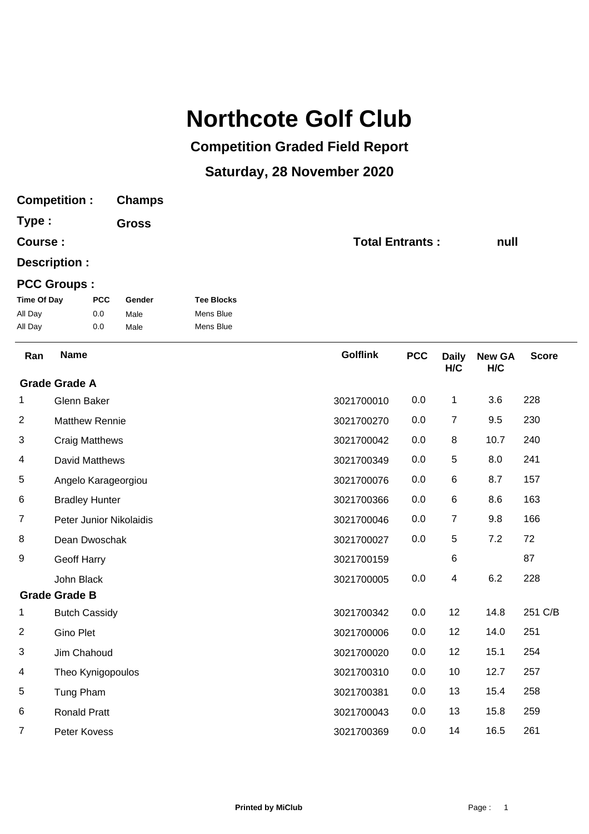## **Northcote Golf Club**

## **Competition Graded Field Report**

## **Saturday, 28 November 2020**

| <b>Competition:</b>                      |                          | <b>Champs</b>          |                                             |                 |                        |                     |                      |              |
|------------------------------------------|--------------------------|------------------------|---------------------------------------------|-----------------|------------------------|---------------------|----------------------|--------------|
| Type :<br>Course:                        |                          | <b>Gross</b>           |                                             |                 |                        |                     |                      |              |
|                                          |                          |                        |                                             |                 | <b>Total Entrants:</b> |                     |                      | null         |
| Description :                            |                          |                        |                                             |                 |                        |                     |                      |              |
|                                          | <b>PCC Groups:</b>       |                        |                                             |                 |                        |                     |                      |              |
| <b>Time Of Day</b><br>All Day<br>All Day | <b>PCC</b><br>0.0<br>0.0 | Gender<br>Male<br>Male | <b>Tee Blocks</b><br>Mens Blue<br>Mens Blue |                 |                        |                     |                      |              |
| Ran                                      | <b>Name</b>              |                        |                                             | <b>Golflink</b> | <b>PCC</b>             | <b>Daily</b><br>H/C | <b>New GA</b><br>H/C | <b>Score</b> |
|                                          | <b>Grade Grade A</b>     |                        |                                             |                 |                        |                     |                      |              |
| 1                                        | Glenn Baker              |                        |                                             | 3021700010      | 0.0                    | 1                   | 3.6                  | 228          |
| 2                                        | <b>Matthew Rennie</b>    |                        |                                             | 3021700270      | 0.0                    | 7                   | 9.5                  | 230          |
| 3                                        | <b>Craig Matthews</b>    |                        |                                             | 3021700042      | 0.0                    | 8                   | 10.7                 | 240          |
| 4                                        | David Matthews           |                        |                                             | 3021700349      | 0.0                    | 5                   | 8.0                  | 241          |
| 5                                        | Angelo Karageorgiou      |                        |                                             | 3021700076      | 0.0                    | 6                   | 8.7                  | 157          |
| 6                                        | <b>Bradley Hunter</b>    |                        |                                             | 3021700366      | 0.0                    | 6                   | 8.6                  | 163          |
| 7                                        | Peter Junior Nikolaidis  |                        |                                             | 3021700046      | 0.0                    | $\overline{7}$      | 9.8                  | 166          |
| 8                                        | Dean Dwoschak            |                        |                                             | 3021700027      | 0.0                    | 5                   | 7.2                  | 72           |
| 9                                        | <b>Geoff Harry</b>       |                        |                                             | 3021700159      |                        | 6                   |                      | 87           |
|                                          | John Black               |                        |                                             | 3021700005      | 0.0                    | 4                   | 6.2                  | 228          |
|                                          | <b>Grade Grade B</b>     |                        |                                             |                 |                        |                     |                      |              |
| 1                                        | <b>Butch Cassidy</b>     |                        |                                             | 3021700342      | 0.0                    | 12                  | 14.8                 | 251 C/B      |
| 2                                        | Gino Plet                |                        |                                             | 3021700006      | 0.0                    | 12                  | 14.0                 | 251          |
| $\sqrt{3}$                               | Jim Chahoud              |                        |                                             | 3021700020      | 0.0                    | 12                  | 15.1                 | 254          |
| 4                                        | Theo Kynigopoulos        |                        |                                             | 3021700310      | 0.0                    | 10                  | 12.7                 | 257          |
| 5                                        | Tung Pham                |                        |                                             | 3021700381      | 0.0                    | 13                  | 15.4                 | 258          |
| 6                                        | Ronald Pratt             |                        |                                             | 3021700043      | 0.0                    | 13                  | 15.8                 | 259          |
| 7                                        | Peter Kovess             |                        |                                             | 3021700369      | 0.0                    | 14                  | 16.5                 | 261          |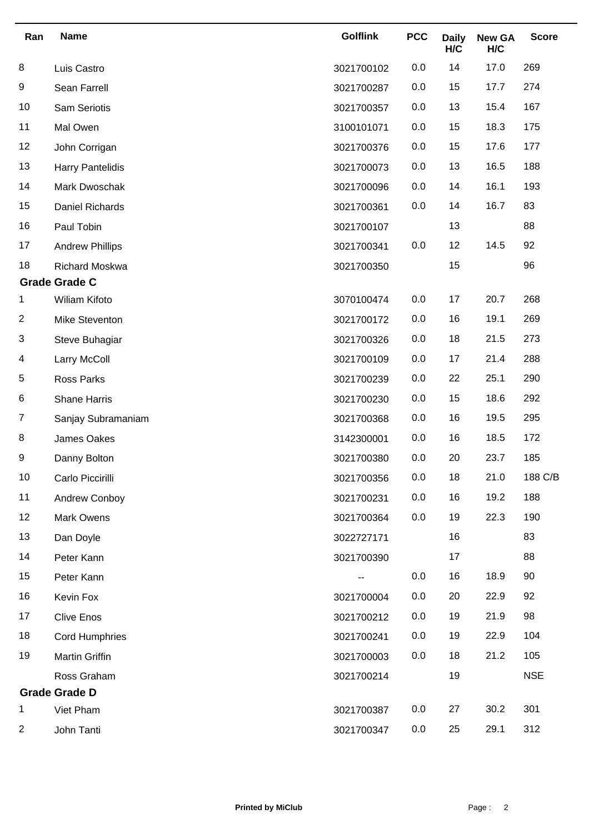| Ran                  | <b>Name</b>             | <b>Golflink</b> | <b>PCC</b> | <b>Daily</b><br>H/C | <b>New GA</b><br>H/C | <b>Score</b> |
|----------------------|-------------------------|-----------------|------------|---------------------|----------------------|--------------|
| 8                    | Luis Castro             | 3021700102      | 0.0        | 14                  | 17.0                 | 269          |
| 9                    | Sean Farrell            | 3021700287      | 0.0        | 15                  | 17.7                 | 274          |
| 10                   | Sam Seriotis            | 3021700357      | 0.0        | 13                  | 15.4                 | 167          |
| 11                   | Mal Owen                | 3100101071      | 0.0        | 15                  | 18.3                 | 175          |
| 12                   | John Corrigan           | 3021700376      | 0.0        | 15                  | 17.6                 | 177          |
| 13                   | <b>Harry Pantelidis</b> | 3021700073      | 0.0        | 13                  | 16.5                 | 188          |
| 14                   | Mark Dwoschak           | 3021700096      | 0.0        | 14                  | 16.1                 | 193          |
| 15                   | Daniel Richards         | 3021700361      | 0.0        | 14                  | 16.7                 | 83           |
| 16                   | Paul Tobin              | 3021700107      |            | 13                  |                      | 88           |
| 17                   | <b>Andrew Phillips</b>  | 3021700341      | 0.0        | 12                  | 14.5                 | 92           |
| 18                   | <b>Richard Moskwa</b>   | 3021700350      |            | 15                  |                      | 96           |
|                      | <b>Grade Grade C</b>    |                 |            |                     |                      |              |
| 1                    | Wiliam Kifoto           | 3070100474      | 0.0        | 17                  | 20.7                 | 268          |
| $\overline{2}$       | Mike Steventon          | 3021700172      | 0.0        | 16                  | 19.1                 | 269          |
| 3                    | Steve Buhagiar          | 3021700326      | 0.0        | 18                  | 21.5                 | 273          |
| 4                    | Larry McColl            | 3021700109      | 0.0        | 17                  | 21.4                 | 288          |
| 5                    | <b>Ross Parks</b>       | 3021700239      | 0.0        | 22                  | 25.1                 | 290          |
| 6                    | <b>Shane Harris</b>     | 3021700230      | 0.0        | 15                  | 18.6                 | 292          |
| $\overline{7}$       | Sanjay Subramaniam      | 3021700368      | 0.0        | 16                  | 19.5                 | 295          |
| 8                    | James Oakes             | 3142300001      | 0.0        | 16                  | 18.5                 | 172          |
| 9                    | Danny Bolton            | 3021700380      | 0.0        | 20                  | 23.7                 | 185          |
| 10                   | Carlo Piccirilli        | 3021700356      | 0.0        | 18                  | 21.0                 | 188 C/B      |
| 11                   | Andrew Conboy           | 3021700231      | 0.0        | 16                  | 19.2                 | 188          |
| 12                   | Mark Owens              | 3021700364      | 0.0        | 19                  | 22.3                 | 190          |
| 13                   | Dan Doyle               | 3022727171      |            | 16                  |                      | 83           |
| 14                   | Peter Kann              | 3021700390      |            | 17                  |                      | 88           |
| 15                   | Peter Kann              |                 | 0.0        | 16                  | 18.9                 | 90           |
| 16                   | Kevin Fox               | 3021700004      | 0.0        | 20                  | 22.9                 | 92           |
| 17                   | <b>Clive Enos</b>       | 3021700212      | 0.0        | 19                  | 21.9                 | 98           |
| 18                   | <b>Cord Humphries</b>   | 3021700241      | 0.0        | 19                  | 22.9                 | 104          |
| 19                   | Martin Griffin          | 3021700003      | 0.0        | 18                  | 21.2                 | 105          |
|                      | Ross Graham             | 3021700214      |            | 19                  |                      | <b>NSE</b>   |
| <b>Grade Grade D</b> |                         |                 |            |                     |                      |              |
| 1                    | Viet Pham               | 3021700387      | 0.0        | 27                  | 30.2                 | 301          |
| 2                    | John Tanti              | 3021700347      | 0.0        | 25                  | 29.1                 | 312          |